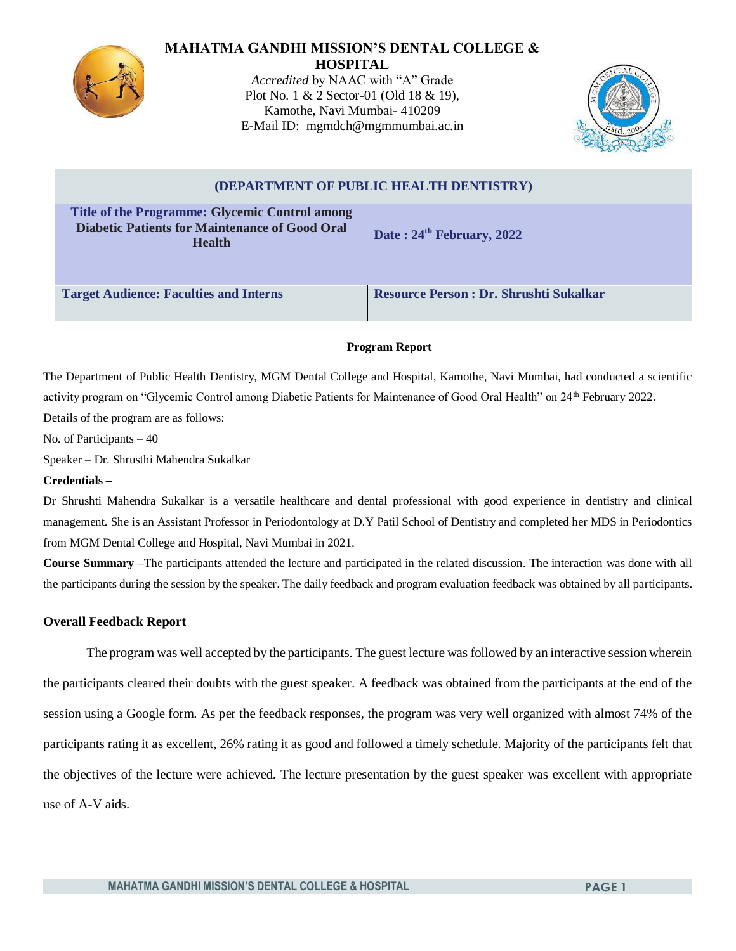

#### **MAHATMA GANDHI MISSION'S DENTAL COLLEGE & HOSPITAL**

*Accredited* by NAAC with "A" Grade Plot No. 1 & 2 Sector-01 (Old 18 & 19), Kamothe, Navi Mumbai- 410209 E-Mail ID: [mgmdch@mgmmumbai.ac.in](mailto:mgmdch@mgmmumbai.ac.in)



# **(DEPARTMENT OF PUBLIC HEALTH DENTISTRY) Title of the Programme: Glycemic Control among Diabetic Patients for Maintenance of Good Oral Health Date : 24th February, 2022 Target Audience: Faculties and Interns Resource Person : Dr. Shrushti Sukalkar**

## **Program Report**

The Department of Public Health Dentistry, MGM Dental College and Hospital, Kamothe, Navi Mumbai, had conducted a scientific activity program on "Glycemic Control among Diabetic Patients for Maintenance of Good Oral Health" on 24<sup>th</sup> February 2022. Details of the program are as follows:

No. of Participants – 40

Speaker – Dr. Shrusthi Mahendra Sukalkar

#### **Credentials –**

Dr Shrushti Mahendra Sukalkar is a versatile healthcare and dental professional with good experience in dentistry and clinical management. She is an Assistant Professor in Periodontology at D.Y Patil School of Dentistry and completed her MDS in Periodontics from MGM Dental College and Hospital, Navi Mumbai in 2021.

**Course Summary –**The participants attended the lecture and participated in the related discussion. The interaction was done with all the participants during the session by the speaker. The daily feedback and program evaluation feedback was obtained by all participants.

### **Overall Feedback Report**

The program was well accepted by the participants. The guest lecture was followed by an interactive session wherein the participants cleared their doubts with the guest speaker. A feedback was obtained from the participants at the end of the session using a Google form. As per the feedback responses, the program was very well organized with almost 74% of the participants rating it as excellent, 26% rating it as good and followed a timely schedule. Majority of the participants felt that the objectives of the lecture were achieved. The lecture presentation by the guest speaker was excellent with appropriate use of A-V aids.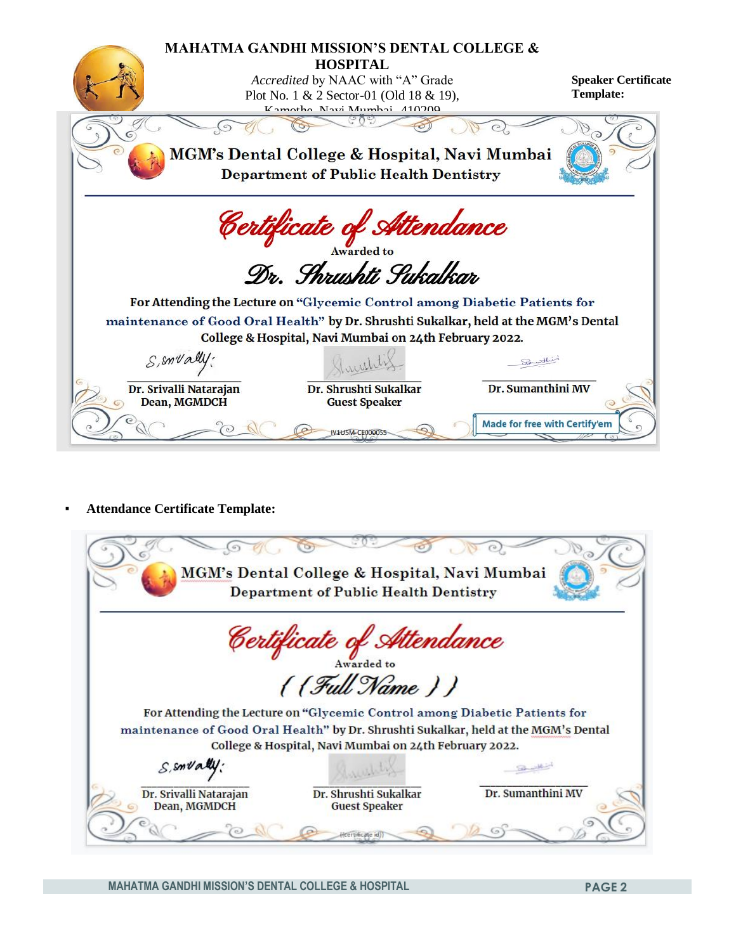

▪ **Attendance Certificate Template:**

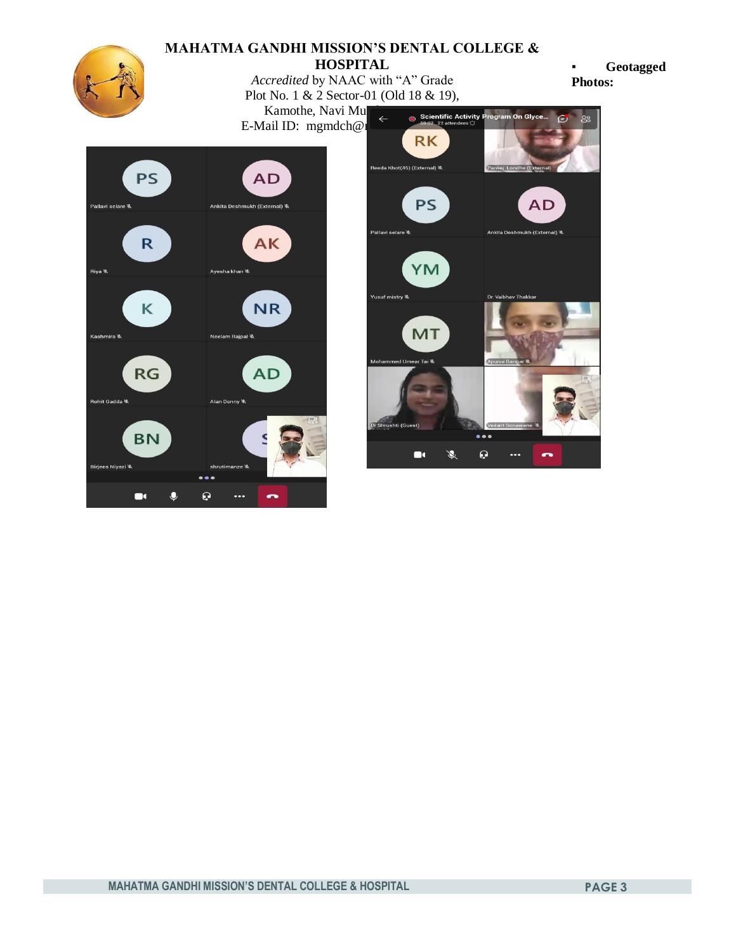